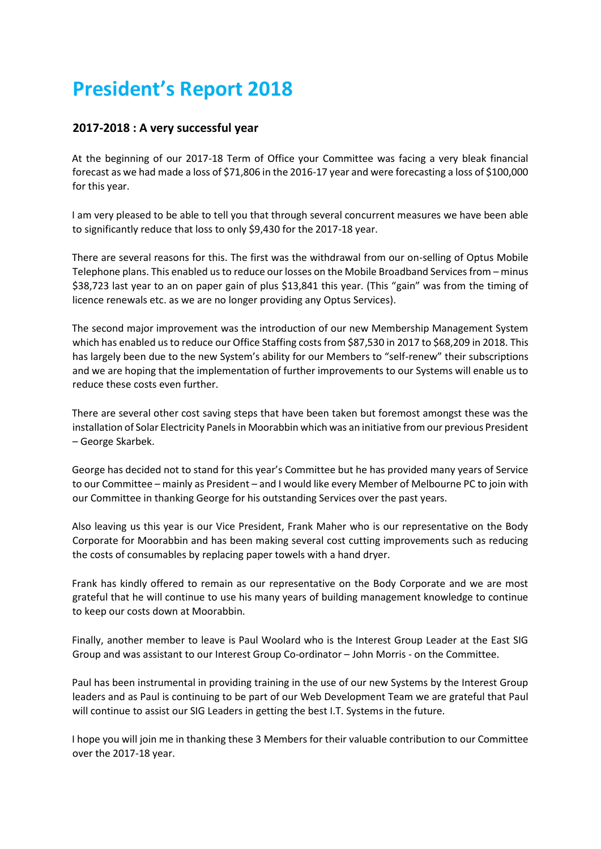# **President's Report 2018**

# **2017-2018 : A very successful year**

At the beginning of our 2017-18 Term of Office your Committee was facing a very bleak financial forecast as we had made a loss of \$71,806 in the 2016-17 year and were forecasting a loss of \$100,000 for this year.

I am very pleased to be able to tell you that through several concurrent measures we have been able to significantly reduce that loss to only \$9,430 for the 2017-18 year.

There are several reasons for this. The first was the withdrawal from our on-selling of Optus Mobile Telephone plans. This enabled us to reduce our losses on the Mobile Broadband Services from – minus \$38,723 last year to an on paper gain of plus \$13,841 this year. (This "gain" was from the timing of licence renewals etc. as we are no longer providing any Optus Services).

The second major improvement was the introduction of our new Membership Management System which has enabled us to reduce our Office Staffing costs from \$87,530 in 2017 to \$68,209 in 2018. This has largely been due to the new System's ability for our Members to "self-renew" their subscriptions and we are hoping that the implementation of further improvements to our Systems will enable us to reduce these costs even further.

There are several other cost saving steps that have been taken but foremost amongst these was the installation of Solar Electricity Panels in Moorabbin which was an initiative from our previous President – George Skarbek.

George has decided not to stand for this year's Committee but he has provided many years of Service to our Committee – mainly as President – and I would like every Member of Melbourne PC to join with our Committee in thanking George for his outstanding Services over the past years.

Also leaving us this year is our Vice President, Frank Maher who is our representative on the Body Corporate for Moorabbin and has been making several cost cutting improvements such as reducing the costs of consumables by replacing paper towels with a hand dryer.

Frank has kindly offered to remain as our representative on the Body Corporate and we are most grateful that he will continue to use his many years of building management knowledge to continue to keep our costs down at Moorabbin.

Finally, another member to leave is Paul Woolard who is the Interest Group Leader at the East SIG Group and was assistant to our Interest Group Co-ordinator – John Morris - on the Committee.

Paul has been instrumental in providing training in the use of our new Systems by the Interest Group leaders and as Paul is continuing to be part of our Web Development Team we are grateful that Paul will continue to assist our SIG Leaders in getting the best I.T. Systems in the future.

I hope you will join me in thanking these 3 Members for their valuable contribution to our Committee over the 2017-18 year.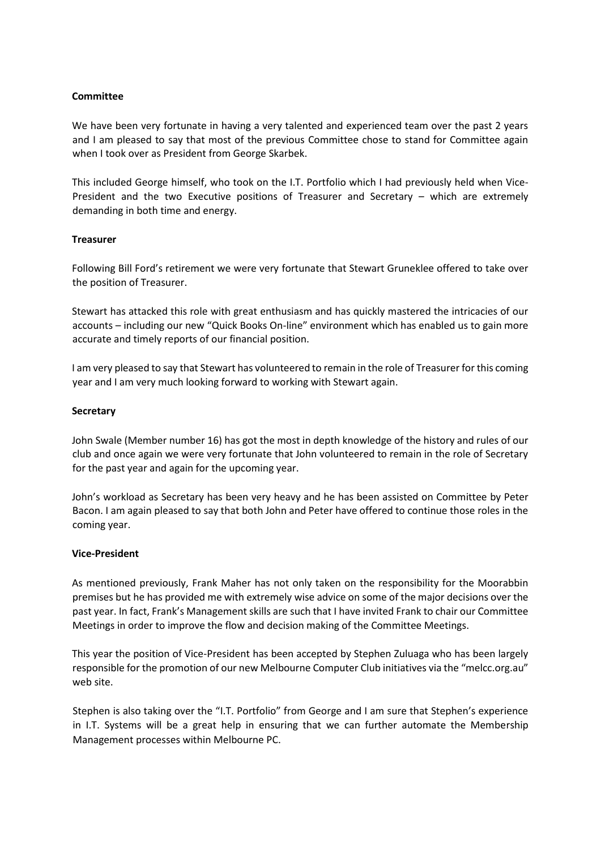#### **Committee**

We have been very fortunate in having a very talented and experienced team over the past 2 years and I am pleased to say that most of the previous Committee chose to stand for Committee again when I took over as President from George Skarbek.

This included George himself, who took on the I.T. Portfolio which I had previously held when Vice-President and the two Executive positions of Treasurer and Secretary – which are extremely demanding in both time and energy.

## **Treasurer**

Following Bill Ford's retirement we were very fortunate that Stewart Gruneklee offered to take over the position of Treasurer.

Stewart has attacked this role with great enthusiasm and has quickly mastered the intricacies of our accounts – including our new "Quick Books On-line" environment which has enabled us to gain more accurate and timely reports of our financial position.

I am very pleased to say that Stewart has volunteered to remain in the role of Treasurer for this coming year and I am very much looking forward to working with Stewart again.

#### **Secretary**

John Swale (Member number 16) has got the most in depth knowledge of the history and rules of our club and once again we were very fortunate that John volunteered to remain in the role of Secretary for the past year and again for the upcoming year.

John's workload as Secretary has been very heavy and he has been assisted on Committee by Peter Bacon. I am again pleased to say that both John and Peter have offered to continue those roles in the coming year.

#### **Vice-President**

As mentioned previously, Frank Maher has not only taken on the responsibility for the Moorabbin premises but he has provided me with extremely wise advice on some of the major decisions over the past year. In fact, Frank's Management skills are such that I have invited Frank to chair our Committee Meetings in order to improve the flow and decision making of the Committee Meetings.

This year the position of Vice-President has been accepted by Stephen Zuluaga who has been largely responsible for the promotion of our new Melbourne Computer Club initiatives via the "melcc.org.au" web site.

Stephen is also taking over the "I.T. Portfolio" from George and I am sure that Stephen's experience in I.T. Systems will be a great help in ensuring that we can further automate the Membership Management processes within Melbourne PC.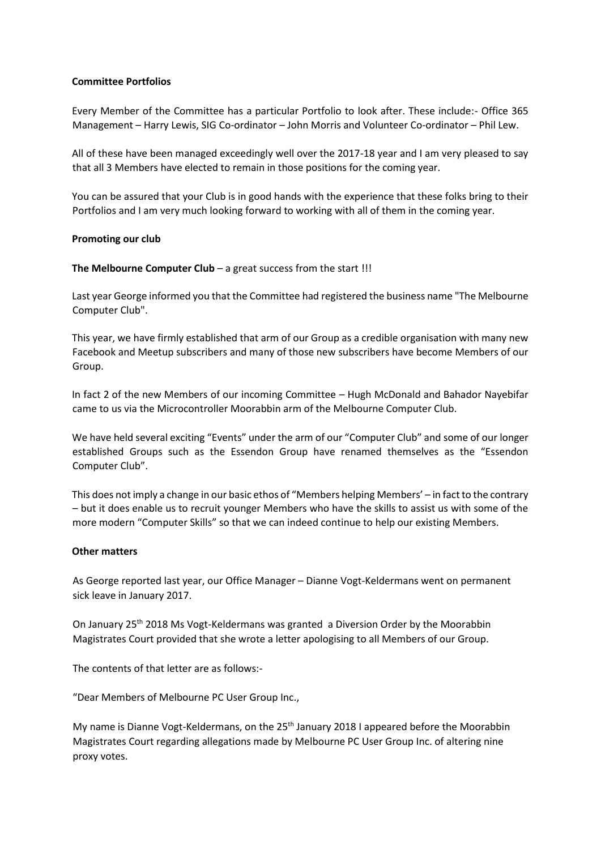## **Committee Portfolios**

Every Member of the Committee has a particular Portfolio to look after. These include:- Office 365 Management – Harry Lewis, SIG Co-ordinator – John Morris and Volunteer Co-ordinator – Phil Lew.

All of these have been managed exceedingly well over the 2017-18 year and I am very pleased to say that all 3 Members have elected to remain in those positions for the coming year.

You can be assured that your Club is in good hands with the experience that these folks bring to their Portfolios and I am very much looking forward to working with all of them in the coming year.

#### **Promoting our club**

#### **The Melbourne Computer Club** – a great success from the start !!!

Last year George informed you that the Committee had registered the business name "The Melbourne Computer Club".

This year, we have firmly established that arm of our Group as a credible organisation with many new Facebook and Meetup subscribers and many of those new subscribers have become Members of our Group.

In fact 2 of the new Members of our incoming Committee – Hugh McDonald and Bahador Nayebifar came to us via the Microcontroller Moorabbin arm of the Melbourne Computer Club.

We have held several exciting "Events" under the arm of our "Computer Club" and some of our longer established Groups such as the Essendon Group have renamed themselves as the "Essendon Computer Club".

This does not imply a change in our basic ethos of "Members helping Members' – in fact to the contrary – but it does enable us to recruit younger Members who have the skills to assist us with some of the more modern "Computer Skills" so that we can indeed continue to help our existing Members.

#### **Other matters**

As George reported last year, our Office Manager – Dianne Vogt-Keldermans went on permanent sick leave in January 2017.

On January 25th 2018 Ms Vogt-Keldermans was granted a Diversion Order by the Moorabbin Magistrates Court provided that she wrote a letter apologising to all Members of our Group.

The contents of that letter are as follows:-

"Dear Members of Melbourne PC User Group Inc.,

My name is Dianne Vogt-Keldermans, on the 25<sup>th</sup> January 2018 I appeared before the Moorabbin Magistrates Court regarding allegations made by Melbourne PC User Group Inc. of altering nine proxy votes.